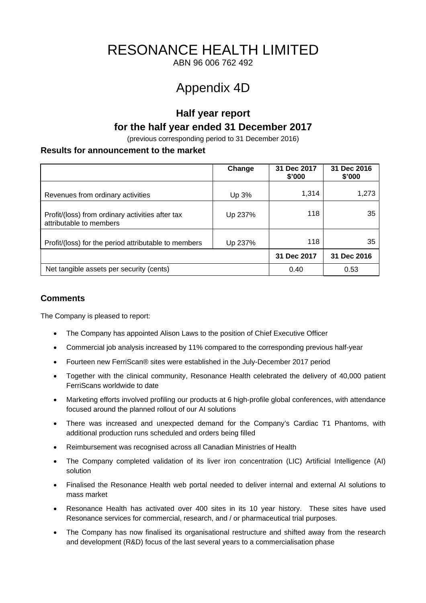# RESONANCE HEALTH LIMITED

ABN 96 006 762 492

# Appendix 4D

# **Half year report for the half year ended 31 December 2017**

(previous corresponding period to 31 December 2016)

# **Results for announcement to the market**

|                                                                             | Change  | 31 Dec 2017<br>\$'000 | 31 Dec 2016<br>\$'000 |
|-----------------------------------------------------------------------------|---------|-----------------------|-----------------------|
| Revenues from ordinary activities                                           | Up 3%   | 1,314                 | 1,273                 |
| Profit/(loss) from ordinary activities after tax<br>attributable to members | Up 237% | 118                   | 35                    |
| Profit/(loss) for the period attributable to members                        | Up 237% | 118                   | 35                    |
|                                                                             |         | 31 Dec 2017           | 31 Dec 2016           |
| Net tangible assets per security (cents)                                    |         | 0.40                  | 0.53                  |

# **Comments**

The Company is pleased to report:

- The Company has appointed Alison Laws to the position of Chief Executive Officer
- Commercial job analysis increased by 11% compared to the corresponding previous half-year
- Fourteen new FerriScan® sites were established in the July-December 2017 period
- Together with the clinical community, Resonance Health celebrated the delivery of 40,000 patient FerriScans worldwide to date
- Marketing efforts involved profiling our products at 6 high-profile global conferences, with attendance focused around the planned rollout of our AI solutions
- There was increased and unexpected demand for the Company's Cardiac T1 Phantoms, with additional production runs scheduled and orders being filled
- Reimbursement was recognised across all Canadian Ministries of Health
- The Company completed validation of its liver iron concentration (LIC) Artificial Intelligence (AI) solution
- Finalised the Resonance Health web portal needed to deliver internal and external AI solutions to mass market
- Resonance Health has activated over 400 sites in its 10 year history. These sites have used Resonance services for commercial, research, and / or pharmaceutical trial purposes.
- The Company has now finalised its organisational restructure and shifted away from the research and development (R&D) focus of the last several years to a commercialisation phase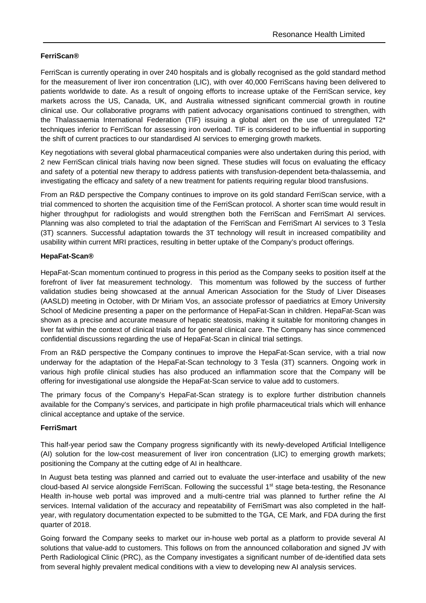# **FerriScan®**

FerriScan is currently operating in over 240 hospitals and is globally recognised as the gold standard method for the measurement of liver iron concentration (LIC), with over 40,000 FerriScans having been delivered to patients worldwide to date. As a result of ongoing efforts to increase uptake of the FerriScan service, key markets across the US, Canada, UK, and Australia witnessed significant commercial growth in routine clinical use. Our collaborative programs with patient advocacy organisations continued to strengthen, with the Thalassaemia International Federation (TIF) issuing a global alert on the use of unregulated T2\* techniques inferior to FerriScan for assessing iron overload. TIF is considered to be influential in supporting the shift of current practices to our standardised AI services to emerging growth markets.

Key negotiations with several global pharmaceutical companies were also undertaken during this period, with 2 new FerriScan clinical trials having now been signed. These studies will focus on evaluating the efficacy and safety of a potential new therapy to address patients with transfusion-dependent beta-thalassemia, and investigating the efficacy and safety of a new treatment for patients requiring regular blood transfusions.

From an R&D perspective the Company continues to improve on its gold standard FerriScan service, with a trial commenced to shorten the acquisition time of the FerriScan protocol. A shorter scan time would result in higher throughput for radiologists and would strengthen both the FerriScan and FerriSmart AI services. Planning was also completed to trial the adaptation of the FerriScan and FerriSmart AI services to 3 Tesla (3T) scanners. Successful adaptation towards the 3T technology will result in increased compatibility and usability within current MRI practices, resulting in better uptake of the Company's product offerings.

# **HepaFat-Scan®**

HepaFat-Scan momentum continued to progress in this period as the Company seeks to position itself at the forefront of liver fat measurement technology. This momentum was followed by the success of further validation studies being showcased at the annual American Association for the Study of Liver Diseases (AASLD) meeting in October, with Dr Miriam Vos, an associate professor of paediatrics at Emory University School of Medicine presenting a paper on the performance of HepaFat-Scan in children. HepaFat-Scan was shown as a precise and accurate measure of hepatic steatosis, making it suitable for monitoring changes in liver fat within the context of clinical trials and for general clinical care. The Company has since commenced confidential discussions regarding the use of HepaFat-Scan in clinical trial settings.

From an R&D perspective the Company continues to improve the HepaFat-Scan service, with a trial now underway for the adaptation of the HepaFat-Scan technology to 3 Tesla (3T) scanners. Ongoing work in various high profile clinical studies has also produced an inflammation score that the Company will be offering for investigational use alongside the HepaFat-Scan service to value add to customers.

The primary focus of the Company's HepaFat-Scan strategy is to explore further distribution channels available for the Company's services, and participate in high profile pharmaceutical trials which will enhance clinical acceptance and uptake of the service.

# **FerriSmart**

This half-year period saw the Company progress significantly with its newly-developed Artificial Intelligence (AI) solution for the low-cost measurement of liver iron concentration (LIC) to emerging growth markets; positioning the Company at the cutting edge of AI in healthcare.

In August beta testing was planned and carried out to evaluate the user-interface and usability of the new cloud-based AI service alongside FerriScan. Following the successful 1<sup>st</sup> stage beta-testing, the Resonance Health in-house web portal was improved and a multi-centre trial was planned to further refine the AI services. Internal validation of the accuracy and repeatability of FerriSmart was also completed in the halfyear, with regulatory documentation expected to be submitted to the TGA, CE Mark, and FDA during the first quarter of 2018.

Going forward the Company seeks to market our in-house web portal as a platform to provide several AI solutions that value-add to customers. This follows on from the announced collaboration and signed JV with Perth Radiological Clinic (PRC), as the Company investigates a significant number of de-identified data sets from several highly prevalent medical conditions with a view to developing new AI analysis services.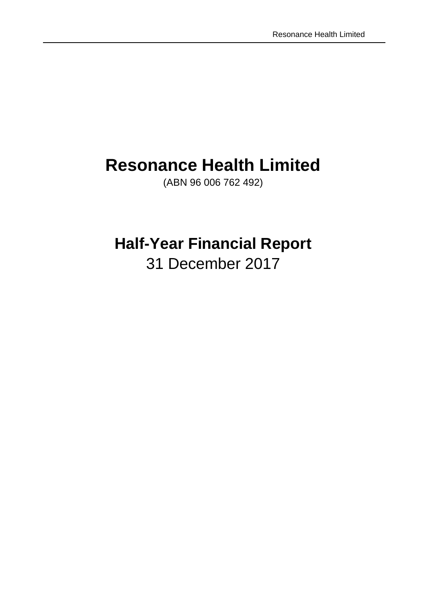# **Resonance Health Limited**

(ABN 96 006 762 492)

# **Half-Year Financial Report**

31 December 2017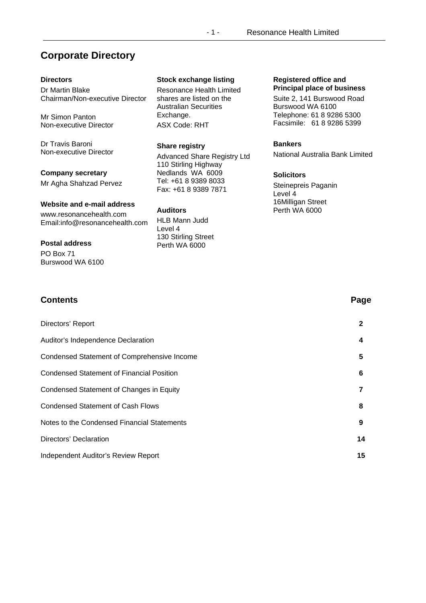# **Corporate Directory**

# **Directors**

Dr Martin Blake Chairman/Non-executive Director

Mr Simon Panton Non-executive Director

Dr Travis Baroni Non-executive Director

**Company secretary**  Mr Agha Shahzad Pervez

**Website and e-mail address** 

www.resonancehealth.com Email:info@resonancehealth.com

# **Postal address**

PO Box 71 Burswood WA 6100

# **Stock exchange listing**

Resonance Health Limited shares are listed on the Australian Securities Exchange. ASX Code: RHT

# **Share registry**

Advanced Share Registry Ltd 110 Stirling Highway Nedlands WA 6009 Tel: +61 8 9389 8033 Fax: +61 8 9389 7871

**Auditors**  HLB Mann Judd Level 4 130 Stirling Street Perth WA 6000

## **Registered office and Principal place of business**

Suite 2, 141 Burswood Road Burswood WA 6100 Telephone: 61 8 9286 5300 Facsimile: 61 8 9286 5399

# **Bankers**

National Australia Bank Limited

# **Solicitors**

Steinepreis Paganin Level 4 16Milligan Street Perth WA 6000

| <b>Contents</b>                                    | Page         |
|----------------------------------------------------|--------------|
| Directors' Report                                  | $\mathbf{2}$ |
| Auditor's Independence Declaration                 | 4            |
| <b>Condensed Statement of Comprehensive Income</b> | 5            |
| <b>Condensed Statement of Financial Position</b>   | 6            |
| Condensed Statement of Changes in Equity           | 7            |
| <b>Condensed Statement of Cash Flows</b>           | 8            |
| Notes to the Condensed Financial Statements        | 9            |
| Directors' Declaration                             | 14           |
| Independent Auditor's Review Report                | 15           |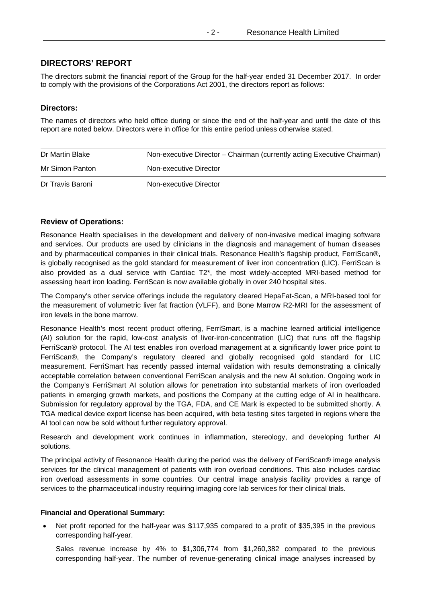# **DIRECTORS' REPORT**

The directors submit the financial report of the Group for the half-year ended 31 December 2017. In order to comply with the provisions of the Corporations Act 2001, the directors report as follows:

## **Directors:**

The names of directors who held office during or since the end of the half-year and until the date of this report are noted below. Directors were in office for this entire period unless otherwise stated.

| Dr Martin Blake  | Non-executive Director – Chairman (currently acting Executive Chairman) |
|------------------|-------------------------------------------------------------------------|
| Mr Simon Panton  | Non-executive Director                                                  |
| Dr Travis Baroni | Non-executive Director                                                  |

## **Review of Operations:**

Resonance Health specialises in the development and delivery of non-invasive medical imaging software and services. Our products are used by clinicians in the diagnosis and management of human diseases and by pharmaceutical companies in their clinical trials. Resonance Health's flagship product, FerriScan®, is globally recognised as the gold standard for measurement of liver iron concentration (LIC). FerriScan is also provided as a dual service with Cardiac T2\*, the most widely-accepted MRI-based method for assessing heart iron loading. FerriScan is now available globally in over 240 hospital sites.

The Company's other service offerings include the regulatory cleared HepaFat-Scan, a MRI-based tool for the measurement of volumetric liver fat fraction (VLFF), and Bone Marrow R2-MRI for the assessment of iron levels in the bone marrow.

Resonance Health's most recent product offering, FerriSmart, is a machine learned artificial intelligence (AI) solution for the rapid, low-cost analysis of liver-iron-concentration (LIC) that runs off the flagship FerriScan® protocol. The AI test enables iron overload management at a significantly lower price point to FerriScan®, the Company's regulatory cleared and globally recognised gold standard for LIC measurement. FerriSmart has recently passed internal validation with results demonstrating a clinically acceptable correlation between conventional FerriScan analysis and the new AI solution. Ongoing work in the Company's FerriSmart AI solution allows for penetration into substantial markets of iron overloaded patients in emerging growth markets, and positions the Company at the cutting edge of AI in healthcare. Submission for regulatory approval by the TGA, FDA, and CE Mark is expected to be submitted shortly. A TGA medical device export license has been acquired, with beta testing sites targeted in regions where the AI tool can now be sold without further regulatory approval.

Research and development work continues in inflammation, stereology, and developing further AI solutions.

The principal activity of Resonance Health during the period was the delivery of FerriScan® image analysis services for the clinical management of patients with iron overload conditions. This also includes cardiac iron overload assessments in some countries. Our central image analysis facility provides a range of services to the pharmaceutical industry requiring imaging core lab services for their clinical trials.

# **Financial and Operational Summary:**

 Net profit reported for the half-year was \$117,935 compared to a profit of \$35,395 in the previous corresponding half-year.

Sales revenue increase by 4% to \$1,306,774 from \$1,260,382 compared to the previous corresponding half-year. The number of revenue-generating clinical image analyses increased by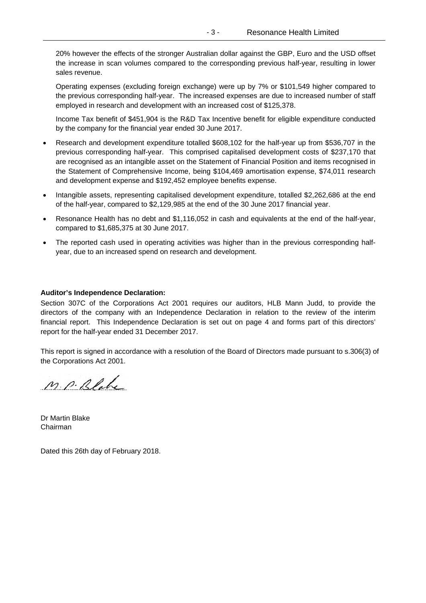20% however the effects of the stronger Australian dollar against the GBP, Euro and the USD offset the increase in scan volumes compared to the corresponding previous half-year, resulting in lower sales revenue.

Operating expenses (excluding foreign exchange) were up by 7% or \$101,549 higher compared to the previous corresponding half-year. The increased expenses are due to increased number of staff employed in research and development with an increased cost of \$125,378.

Income Tax benefit of \$451,904 is the R&D Tax Incentive benefit for eligible expenditure conducted by the company for the financial year ended 30 June 2017.

- Research and development expenditure totalled \$608,102 for the half-year up from \$536,707 in the previous corresponding half-year. This comprised capitalised development costs of \$237,170 that are recognised as an intangible asset on the Statement of Financial Position and items recognised in the Statement of Comprehensive Income, being \$104,469 amortisation expense, \$74,011 research and development expense and \$192,452 employee benefits expense.
- Intangible assets, representing capitalised development expenditure, totalled \$2,262,686 at the end of the half-year, compared to \$2,129,985 at the end of the 30 June 2017 financial year.
- Resonance Health has no debt and \$1,116,052 in cash and equivalents at the end of the half-year, compared to \$1,685,375 at 30 June 2017.
- The reported cash used in operating activities was higher than in the previous corresponding halfyear, due to an increased spend on research and development.

### **Auditor's Independence Declaration:**

Section 307C of the Corporations Act 2001 requires our auditors, HLB Mann Judd, to provide the directors of the company with an Independence Declaration in relation to the review of the interim financial report. This Independence Declaration is set out on page 4 and forms part of this directors' report for the half-year ended 31 December 2017.

This report is signed in accordance with a resolution of the Board of Directors made pursuant to s.306(3) of the Corporations Act 2001.

M. P. Blake

Dr Martin Blake Chairman

Dated this 26th day of February 2018.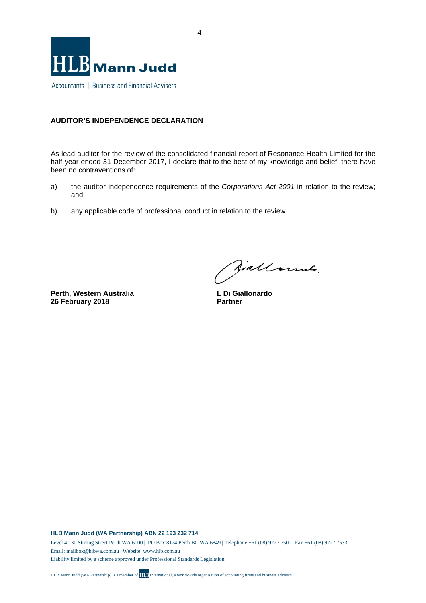

# **AUDITOR'S INDEPENDENCE DECLARATION**

As lead auditor for the review of the consolidated financial report of Resonance Health Limited for the half-year ended 31 December 2017, I declare that to the best of my knowledge and belief, there have been no contraventions of:

- a) the auditor independence requirements of the *Corporations Act 2001* in relation to the review; and
- b) any applicable code of professional conduct in relation to the review.

**Perth, Western Australia 26 February 2018** 

Jiallonnes.

**L Di Giallonardo Partner**

**HLB Mann Judd (WA Partnership) ABN 22 193 232 714** 

Level 4 130 Stirling Street Perth WA 6000 | PO Box 8124 Perth BC WA 6849 | Telephone +61 (08) 9227 7500 | Fax +61 (08) 9227 7533 Email: mailbox@hlbwa.com.au | Website: www.hlb.com.au

Liability limited by a scheme approved under Professional Standards Legislation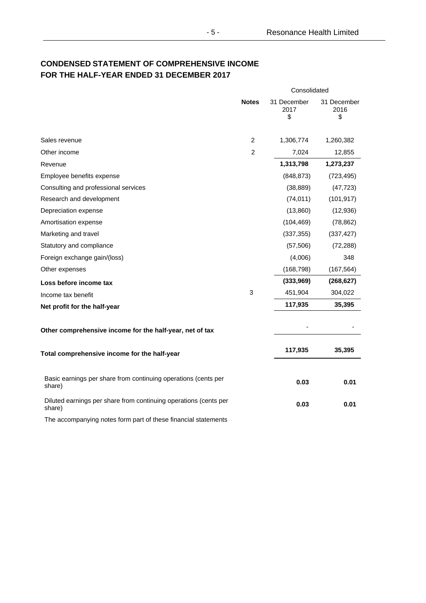# **CONDENSED STATEMENT OF COMPREHENSIVE INCOME FOR THE HALF-YEAR ENDED 31 DECEMBER 2017**

|                                                                            |                | Consolidated              |                           |  |
|----------------------------------------------------------------------------|----------------|---------------------------|---------------------------|--|
|                                                                            | <b>Notes</b>   | 31 December<br>2017<br>\$ | 31 December<br>2016<br>\$ |  |
| Sales revenue                                                              | $\overline{2}$ | 1,306,774                 | 1,260,382                 |  |
| Other income                                                               | $\overline{2}$ | 7,024                     | 12,855                    |  |
| Revenue                                                                    |                | 1,313,798                 | 1,273,237                 |  |
| Employee benefits expense                                                  |                | (848, 873)                | (723, 495)                |  |
| Consulting and professional services                                       |                | (38, 889)                 | (47, 723)                 |  |
| Research and development                                                   |                | (74, 011)                 | (101, 917)                |  |
| Depreciation expense                                                       |                | (13,860)                  | (12, 936)                 |  |
| Amortisation expense                                                       |                | (104, 469)                | (78, 862)                 |  |
| Marketing and travel                                                       |                | (337, 355)                | (337, 427)                |  |
| Statutory and compliance                                                   |                | (57, 506)                 | (72, 288)                 |  |
| Foreign exchange gain/(loss)                                               |                | (4,006)                   | 348                       |  |
| Other expenses                                                             |                | (168, 798)                | (167, 564)                |  |
| Loss before income tax                                                     |                | (333,969)                 | (268, 627)                |  |
| Income tax benefit                                                         | 3              | 451,904                   | 304,022                   |  |
| Net profit for the half-year                                               |                | 117,935                   | 35,395                    |  |
| Other comprehensive income for the half-year, net of tax                   |                |                           |                           |  |
| Total comprehensive income for the half-year                               |                | 117,935                   | 35,395                    |  |
| Basic earnings per share from continuing operations (cents per<br>share)   |                | 0.03                      | 0.01                      |  |
| Diluted earnings per share from continuing operations (cents per<br>share) |                | 0.03                      | 0.01                      |  |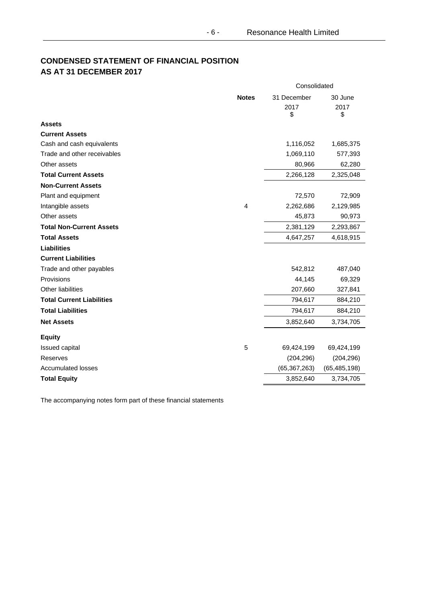# **CONDENSED STATEMENT OF FINANCIAL POSITION AS AT 31 DECEMBER 2017**

|                                  |                | Consolidated              |                       |  |
|----------------------------------|----------------|---------------------------|-----------------------|--|
|                                  | <b>Notes</b>   | 31 December<br>2017<br>\$ | 30 June<br>2017<br>\$ |  |
| <b>Assets</b>                    |                |                           |                       |  |
| <b>Current Assets</b>            |                |                           |                       |  |
| Cash and cash equivalents        |                | 1,116,052                 | 1,685,375             |  |
| Trade and other receivables      |                | 1,069,110                 | 577,393               |  |
| Other assets                     |                | 80,966                    | 62,280                |  |
| <b>Total Current Assets</b>      |                | 2,266,128                 | 2,325,048             |  |
| <b>Non-Current Assets</b>        |                |                           |                       |  |
| Plant and equipment              |                | 72,570                    | 72,909                |  |
| Intangible assets                | $\overline{4}$ | 2,262,686                 | 2,129,985             |  |
| Other assets                     |                | 45,873                    | 90,973                |  |
| <b>Total Non-Current Assets</b>  |                | 2,381,129                 | 2,293,867             |  |
| <b>Total Assets</b>              |                | 4,647,257                 | 4,618,915             |  |
| <b>Liabilities</b>               |                |                           |                       |  |
| <b>Current Liabilities</b>       |                |                           |                       |  |
| Trade and other payables         |                | 542,812                   | 487,040               |  |
| Provisions                       |                | 44,145                    | 69,329                |  |
| <b>Other liabilities</b>         |                | 207,660                   | 327,841               |  |
| <b>Total Current Liabilities</b> |                | 794,617                   | 884,210               |  |
| <b>Total Liabilities</b>         |                | 794,617                   | 884,210               |  |
| <b>Net Assets</b>                |                | 3,852,640                 | 3,734,705             |  |
| <b>Equity</b>                    |                |                           |                       |  |
| Issued capital                   | 5              | 69,424,199                | 69,424,199            |  |
| Reserves                         |                | (204, 296)                | (204, 296)            |  |
| <b>Accumulated losses</b>        |                | (65, 367, 263)            | (65, 485, 198)        |  |
| <b>Total Equity</b>              |                | 3,852,640                 | 3,734,705             |  |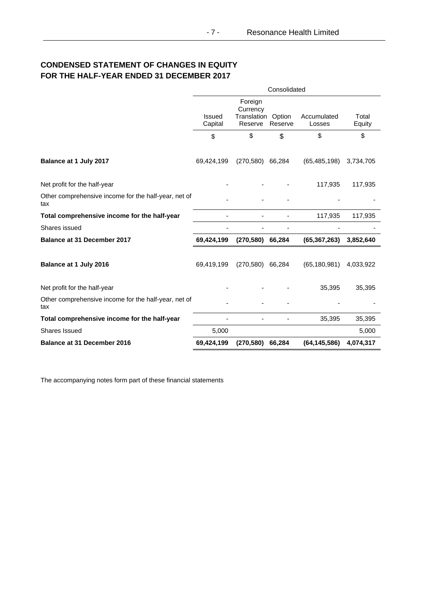# **CONDENSED STATEMENT OF CHANGES IN EQUITY FOR THE HALF-YEAR ENDED 31 DECEMBER 2017**

|                                                             | Consolidated      |                                               |                   |                       |                 |
|-------------------------------------------------------------|-------------------|-----------------------------------------------|-------------------|-----------------------|-----------------|
|                                                             | Issued<br>Capital | Foreign<br>Currency<br>Translation<br>Reserve | Option<br>Reserve | Accumulated<br>Losses | Total<br>Equity |
|                                                             | \$                | \$                                            | \$                | \$                    | \$              |
| Balance at 1 July 2017                                      | 69,424,199        | (270, 580)                                    | 66,284            | (65, 485, 198)        | 3,734,705       |
| Net profit for the half-year                                |                   |                                               |                   | 117,935               | 117,935         |
| Other comprehensive income for the half-year, net of<br>tax |                   |                                               |                   |                       |                 |
| Total comprehensive income for the half-year                |                   |                                               |                   | 117,935               | 117,935         |
| Shares issued                                               |                   |                                               |                   |                       |                 |
| Balance at 31 December 2017                                 | 69,424,199        | $(270,580)$ 66,284                            |                   | (65, 367, 263)        | 3,852,640       |
| Balance at 1 July 2016                                      | 69,419,199        | $(270.580)$ 66,284                            |                   | (65, 180, 981)        | 4,033,922       |
| Net profit for the half-year                                |                   |                                               |                   | 35,395                | 35,395          |
| Other comprehensive income for the half-year, net of<br>tax |                   |                                               |                   |                       |                 |
| Total comprehensive income for the half-year                |                   |                                               |                   | 35,395                | 35,395          |
| <b>Shares Issued</b>                                        | 5,000             |                                               |                   |                       | 5,000           |
| <b>Balance at 31 December 2016</b>                          | 69,424,199        | (270, 580)                                    | 66,284            | (64, 145, 586)        | 4,074,317       |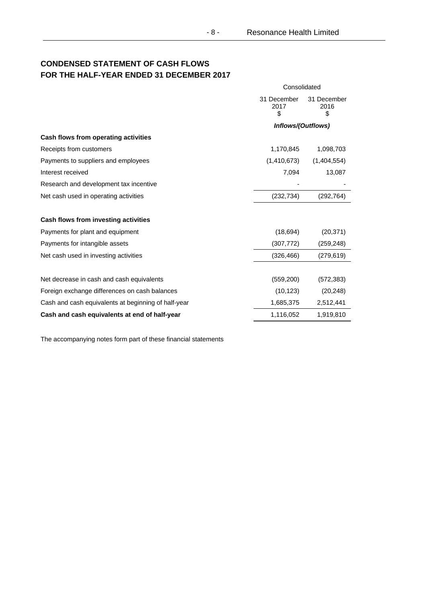# **CONDENSED STATEMENT OF CASH FLOWS FOR THE HALF-YEAR ENDED 31 DECEMBER 2017**

|                                                     | Consolidated              |                           |  |
|-----------------------------------------------------|---------------------------|---------------------------|--|
|                                                     | 31 December<br>2017<br>\$ | 31 December<br>2016<br>\$ |  |
|                                                     | Inflows/(Outflows)        |                           |  |
| Cash flows from operating activities                |                           |                           |  |
| Receipts from customers                             | 1,170,845                 | 1,098,703                 |  |
| Payments to suppliers and employees                 | (1,410,673)               | (1,404,554)               |  |
| Interest received                                   | 7,094                     | 13,087                    |  |
| Research and development tax incentive              |                           |                           |  |
| Net cash used in operating activities               | (232, 734)                | (292, 764)                |  |
| Cash flows from investing activities                |                           |                           |  |
| Payments for plant and equipment                    | (18, 694)                 | (20, 371)                 |  |
| Payments for intangible assets                      | (307, 772)                | (259, 248)                |  |
| Net cash used in investing activities               | (326, 466)                | (279, 619)                |  |
| Net decrease in cash and cash equivalents           | (559, 200)                | (572, 383)                |  |
| Foreign exchange differences on cash balances       | (10, 123)                 | (20, 248)                 |  |
| Cash and cash equivalents at beginning of half-year | 1,685,375                 | 2,512,441                 |  |
| Cash and cash equivalents at end of half-year       | 1,116,052                 | 1,919,810                 |  |

- 8 -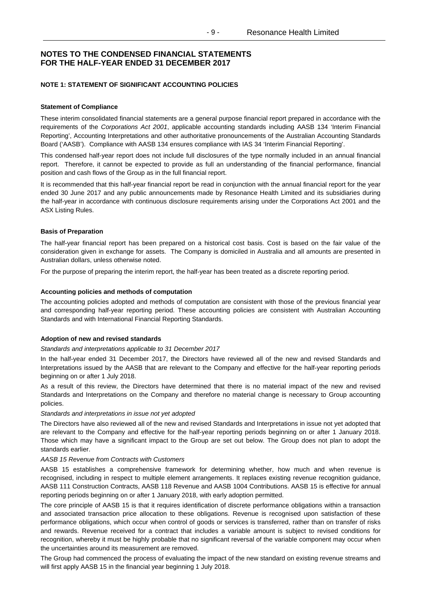# **NOTE 1: STATEMENT OF SIGNIFICANT ACCOUNTING POLICIES**

#### **Statement of Compliance**

These interim consolidated financial statements are a general purpose financial report prepared in accordance with the requirements of the *Corporations Act 2001*, applicable accounting standards including AASB 134 'Interim Financial Reporting', Accounting Interpretations and other authoritative pronouncements of the Australian Accounting Standards Board ('AASB'). Compliance with AASB 134 ensures compliance with IAS 34 'Interim Financial Reporting'.

This condensed half-year report does not include full disclosures of the type normally included in an annual financial report. Therefore, it cannot be expected to provide as full an understanding of the financial performance, financial position and cash flows of the Group as in the full financial report.

It is recommended that this half-year financial report be read in conjunction with the annual financial report for the year ended 30 June 2017 and any public announcements made by Resonance Health Limited and its subsidiaries during the half-year in accordance with continuous disclosure requirements arising under the Corporations Act 2001 and the ASX Listing Rules.

#### **Basis of Preparation**

The half-year financial report has been prepared on a historical cost basis. Cost is based on the fair value of the consideration given in exchange for assets. The Company is domiciled in Australia and all amounts are presented in Australian dollars, unless otherwise noted.

For the purpose of preparing the interim report, the half-year has been treated as a discrete reporting period.

#### **Accounting policies and methods of computation**

The accounting policies adopted and methods of computation are consistent with those of the previous financial year and corresponding half-year reporting period. These accounting policies are consistent with Australian Accounting Standards and with International Financial Reporting Standards.

#### **Adoption of new and revised standards**

#### *Standards and interpretations applicable to 31 December 2017*

In the half-year ended 31 December 2017, the Directors have reviewed all of the new and revised Standards and Interpretations issued by the AASB that are relevant to the Company and effective for the half-year reporting periods beginning on or after 1 July 2018.

As a result of this review, the Directors have determined that there is no material impact of the new and revised Standards and Interpretations on the Company and therefore no material change is necessary to Group accounting policies.

#### *Standards and interpretations in issue not yet adopted*

The Directors have also reviewed all of the new and revised Standards and Interpretations in issue not yet adopted that are relevant to the Company and effective for the half-year reporting periods beginning on or after 1 January 2018. Those which may have a significant impact to the Group are set out below. The Group does not plan to adopt the standards earlier.

#### *AASB 15 Revenue from Contracts with Customers*

AASB 15 establishes a comprehensive framework for determining whether, how much and when revenue is recognised, including in respect to multiple element arrangements. It replaces existing revenue recognition guidance, AASB 111 Construction Contracts, AASB 118 Revenue and AASB 1004 Contributions. AASB 15 is effective for annual reporting periods beginning on or after 1 January 2018, with early adoption permitted.

The core principle of AASB 15 is that it requires identification of discrete performance obligations within a transaction and associated transaction price allocation to these obligations. Revenue is recognised upon satisfaction of these performance obligations, which occur when control of goods or services is transferred, rather than on transfer of risks and rewards. Revenue received for a contract that includes a variable amount is subject to revised conditions for recognition, whereby it must be highly probable that no significant reversal of the variable component may occur when the uncertainties around its measurement are removed.

The Group had commenced the process of evaluating the impact of the new standard on existing revenue streams and will first apply AASB 15 in the financial year beginning 1 July 2018.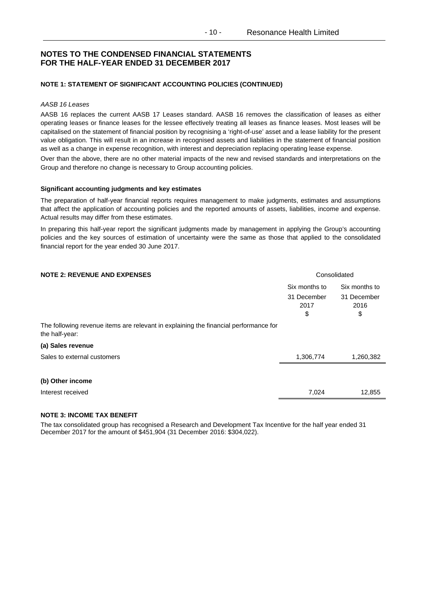### **NOTE 1: STATEMENT OF SIGNIFICANT ACCOUNTING POLICIES (CONTINUED)**

#### *AASB 16 Leases*

AASB 16 replaces the current AASB 17 Leases standard. AASB 16 removes the classification of leases as either operating leases or finance leases for the lessee effectively treating all leases as finance leases. Most leases will be capitalised on the statement of financial position by recognising a 'right-of-use' asset and a lease liability for the present value obligation. This will result in an increase in recognised assets and liabilities in the statement of financial position as well as a change in expense recognition, with interest and depreciation replacing operating lease expense.

Over than the above, there are no other material impacts of the new and revised standards and interpretations on the Group and therefore no change is necessary to Group accounting policies.

#### **Significant accounting judgments and key estimates**

The preparation of half-year financial reports requires management to make judgments, estimates and assumptions that affect the application of accounting policies and the reported amounts of assets, liabilities, income and expense. Actual results may differ from these estimates.

In preparing this half-year report the significant judgments made by management in applying the Group's accounting policies and the key sources of estimation of uncertainty were the same as those that applied to the consolidated financial report for the year ended 30 June 2017.

| <b>NOTE 2: REVENUE AND EXPENSES</b>                                                                    | Consolidated                               |                                            |
|--------------------------------------------------------------------------------------------------------|--------------------------------------------|--------------------------------------------|
|                                                                                                        | Six months to<br>31 December<br>2017<br>\$ | Six months to<br>31 December<br>2016<br>\$ |
| The following revenue items are relevant in explaining the financial performance for<br>the half-year: |                                            |                                            |
| (a) Sales revenue                                                                                      |                                            |                                            |
| Sales to external customers                                                                            | 1,306,774                                  | 1,260,382                                  |
|                                                                                                        |                                            |                                            |
| (b) Other income                                                                                       |                                            |                                            |
| Interest received                                                                                      | 7,024                                      | 12,855                                     |
|                                                                                                        |                                            |                                            |

# **NOTE 3: INCOME TAX BENEFIT**

The tax consolidated group has recognised a Research and Development Tax Incentive for the half year ended 31 December 2017 for the amount of \$451,904 (31 December 2016: \$304,022).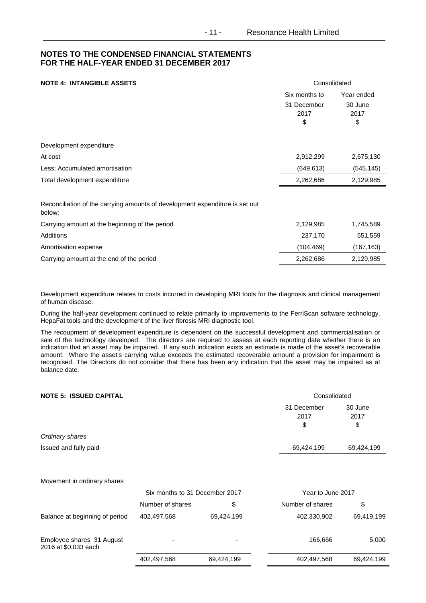# **NOTE 4: INTANGIBLE ASSETS Consolidated**

|                                                                                        | Six months to<br>31 December<br>2017<br>\$ | Year ended<br>30 June<br>2017<br>\$ |
|----------------------------------------------------------------------------------------|--------------------------------------------|-------------------------------------|
| Development expenditure                                                                |                                            |                                     |
| At cost                                                                                | 2,912,299                                  | 2,675,130                           |
| Less: Accumulated amortisation                                                         | (649, 613)                                 | (545, 145)                          |
| Total development expenditure                                                          | 2,262,686                                  | 2,129,985                           |
| Reconciliation of the carrying amounts of development expenditure is set out<br>below: |                                            |                                     |
| Carrying amount at the beginning of the period                                         | 2,129,985                                  | 1,745,589                           |
| Additions                                                                              | 237,170                                    | 551,559                             |
| Amortisation expense                                                                   | (104, 469)                                 | (167, 163)                          |
| Carrying amount at the end of the period                                               | 2,262,686                                  | 2,129,985                           |

Development expenditure relates to costs incurred in developing MRI tools for the diagnosis and clinical management of human disease.

During the half-year development continued to relate primarily to improvements to the FerriScan software technology, HepaFat tools and the development of the liver fibrosis MRI diagnostic tool.

The recoupment of development expenditure is dependent on the successful development and commercialisation or sale of the technology developed. The directors are required to assess at each reporting date whether there is an indication that an asset may be impaired. If any such indication exists an estimate is made of the asset's recoverable amount. Where the asset's carrying value exceeds the estimated recoverable amount a provision for impairment is recognised. The Directors do not consider that there has been any indication that the asset may be impaired as at balance date.

| <b>NOTE 5: ISSUED CAPITAL</b>                     |                                |            | Consolidated      |            |  |
|---------------------------------------------------|--------------------------------|------------|-------------------|------------|--|
|                                                   |                                |            | 31 December       | 30 June    |  |
|                                                   |                                |            | 2017              | 2017       |  |
|                                                   |                                |            | \$                | \$         |  |
| Ordinary shares                                   |                                |            |                   |            |  |
| Issued and fully paid                             |                                |            | 69,424,199        | 69,424,199 |  |
|                                                   |                                |            |                   |            |  |
| Movement in ordinary shares                       |                                |            |                   |            |  |
|                                                   | Six months to 31 December 2017 |            | Year to June 2017 |            |  |
|                                                   | Number of shares               | \$         | Number of shares  | \$         |  |
| Balance at beginning of period                    | 402,497,568                    | 69,424,199 | 402,330,902       | 69,419,199 |  |
| Employee shares 31 August<br>2016 at \$0.033 each |                                |            | 166,666           | 5,000      |  |
|                                                   | 402,497,568                    | 69,424,199 | 402,497,568       | 69,424,199 |  |
|                                                   |                                |            |                   |            |  |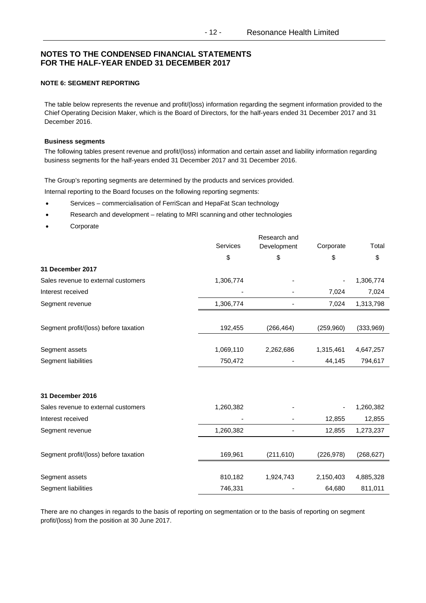# **NOTE 6: SEGMENT REPORTING**

The table below represents the revenue and profit/(loss) information regarding the segment information provided to the Chief Operating Decision Maker, which is the Board of Directors, for the half-years ended 31 December 2017 and 31 December 2016.

## **Business segments**

The following tables present revenue and profit/(loss) information and certain asset and liability information regarding business segments for the half-years ended 31 December 2017 and 31 December 2016.

The Group's reporting segments are determined by the products and services provided.

Internal reporting to the Board focuses on the following reporting segments:

- Services commercialisation of FerriScan and HepaFat Scan technology
- Research and development relating to MRI scanning and other technologies
- Corporate

|                                       | Research and |             |            |            |
|---------------------------------------|--------------|-------------|------------|------------|
|                                       | Services     | Development | Corporate  | Total      |
|                                       | \$           | \$          | \$         | \$         |
| 31 December 2017                      |              |             |            |            |
| Sales revenue to external customers   | 1,306,774    |             |            | 1,306,774  |
| Interest received                     |              |             | 7,024      | 7,024      |
| Segment revenue                       | 1,306,774    |             | 7,024      | 1,313,798  |
| Segment profit/(loss) before taxation | 192,455      | (266, 464)  | (259,960)  | (333,969)  |
| Segment assets                        | 1,069,110    | 2,262,686   | 1,315,461  | 4,647,257  |
| Segment liabilities                   | 750,472      |             | 44,145     | 794,617    |
|                                       |              |             |            |            |
| 31 December 2016                      |              |             |            |            |
| Sales revenue to external customers   | 1,260,382    |             |            | 1,260,382  |
| Interest received                     |              |             | 12,855     | 12,855     |
| Segment revenue                       | 1,260,382    |             | 12,855     | 1,273,237  |
| Segment profit/(loss) before taxation | 169,961      | (211, 610)  | (226, 978) | (268, 627) |
| Segment assets                        | 810,182      | 1,924,743   | 2,150,403  | 4,885,328  |
| Segment liabilities                   | 746,331      |             | 64,680     | 811,011    |

There are no changes in regards to the basis of reporting on segmentation or to the basis of reporting on segment profit/(loss) from the position at 30 June 2017.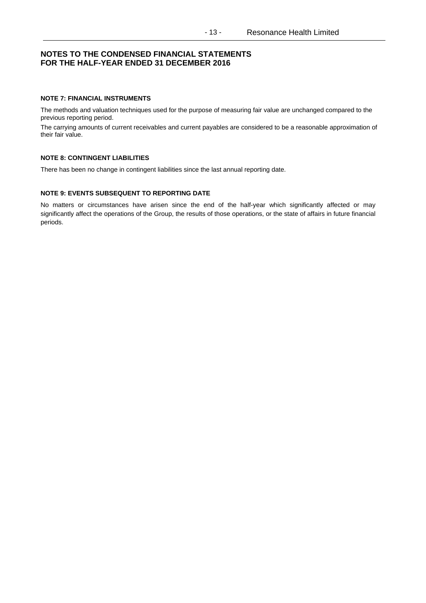## **NOTE 7: FINANCIAL INSTRUMENTS**

The methods and valuation techniques used for the purpose of measuring fair value are unchanged compared to the previous reporting period.

The carrying amounts of current receivables and current payables are considered to be a reasonable approximation of their fair value.

# **NOTE 8: CONTINGENT LIABILITIES**

There has been no change in contingent liabilities since the last annual reporting date.

#### **NOTE 9: EVENTS SUBSEQUENT TO REPORTING DATE**

No matters or circumstances have arisen since the end of the half-year which significantly affected or may significantly affect the operations of the Group, the results of those operations, or the state of affairs in future financial periods.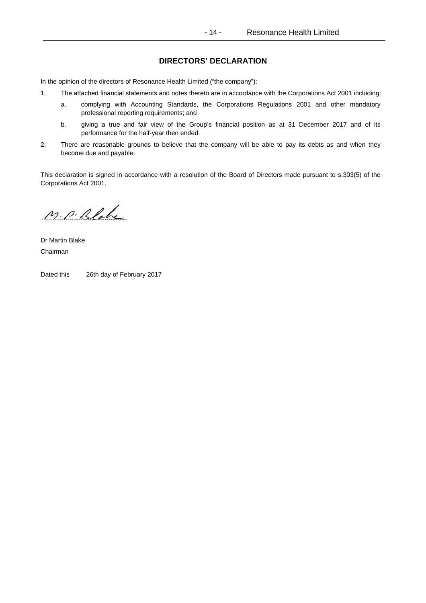# **DIRECTORS' DECLARATION**

In the opinion of the directors of Resonance Health Limited ("the company"):

- 1. The attached financial statements and notes thereto are in accordance with the Corporations Act 2001 including:
	- a. complying with Accounting Standards, the Corporations Regulations 2001 and other mandatory professional reporting requirements; and
	- b. giving a true and fair view of the Group's financial position as at 31 December 2017 and of its performance for the half-year then ended.
- 2. There are reasonable grounds to believe that the company will be able to pay its debts as and when they become due and payable.

This declaration is signed in accordance with a resolution of the Board of Directors made pursuant to s.303(5) of the Corporations Act 2001.

M. P. Blake

Dr Martin Blake Chairman

Dated this 26th day of February 2017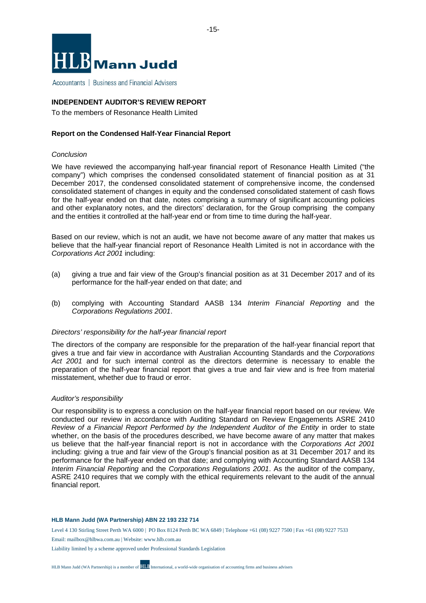

Accountants | Business and Financial Advisers

# **INDEPENDENT AUDITOR'S REVIEW REPORT**

To the members of Resonance Health Limited

## **Report on the Condensed Half-Year Financial Report**

# *Conclusion*

We have reviewed the accompanying half-year financial report of Resonance Health Limited ("the company") which comprises the condensed consolidated statement of financial position as at 31 December 2017, the condensed consolidated statement of comprehensive income, the condensed consolidated statement of changes in equity and the condensed consolidated statement of cash flows for the half-year ended on that date, notes comprising a summary of significant accounting policies and other explanatory notes, and the directors' declaration, for the Group comprising the company and the entities it controlled at the half-year end or from time to time during the half-year.

Based on our review, which is not an audit, we have not become aware of any matter that makes us believe that the half-year financial report of Resonance Health Limited is not in accordance with the *Corporations Act 2001* including:

- (a) giving a true and fair view of the Group's financial position as at 31 December 2017 and of its performance for the half-year ended on that date; and
- (b) complying with Accounting Standard AASB 134 *Interim Financial Reporting* and the *Corporations Regulations 2001*.

#### *Directors' responsibility for the half-year financial report*

The directors of the company are responsible for the preparation of the half-year financial report that gives a true and fair view in accordance with Australian Accounting Standards and the *Corporations*  Act 2001 and for such internal control as the directors determine is necessary to enable the preparation of the half-year financial report that gives a true and fair view and is free from material misstatement, whether due to fraud or error.

#### *Auditor's responsibility*

Our responsibility is to express a conclusion on the half-year financial report based on our review. We conducted our review in accordance with Auditing Standard on Review Engagements ASRE 2410 *Review of a Financial Report Performed by the Independent Auditor of the Entity* in order to state whether, on the basis of the procedures described, we have become aware of any matter that makes us believe that the half-year financial report is not in accordance with the *Corporations Act 2001*  including: giving a true and fair view of the Group's financial position as at 31 December 2017 and its performance for the half-year ended on that date; and complying with Accounting Standard AASB 134 *Interim Financial Reporting* and the *Corporations Regulations 2001*. As the auditor of the company, ASRE 2410 requires that we comply with the ethical requirements relevant to the audit of the annual financial report.

#### **HLB Mann Judd (WA Partnership) ABN 22 193 232 714**

Level 4 130 Stirling Street Perth WA 6000 | PO Box 8124 Perth BC WA 6849 | Telephone +61 (08) 9227 7500 | Fax +61 (08) 9227 7533

Email: mailbox@hlbwa.com.au | Website: www.hlb.com.au

Liability limited by a scheme approved under Professional Standards Legislation